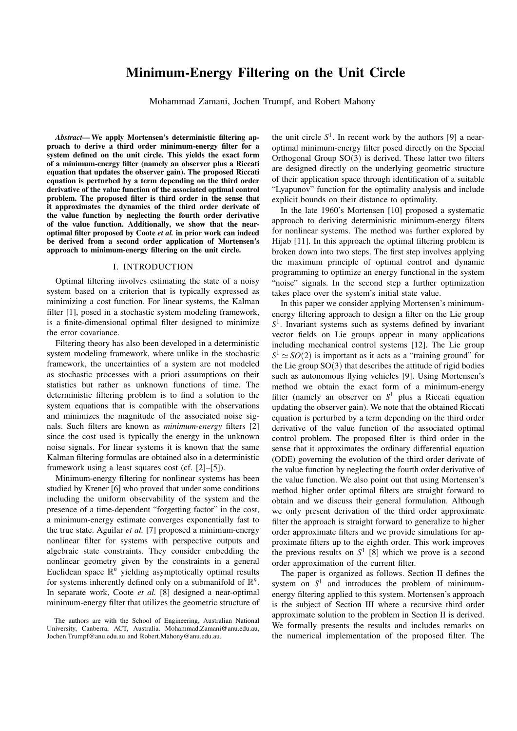# Minimum-Energy Filtering on the Unit Circle

Mohammad Zamani, Jochen Trumpf, and Robert Mahony

*Abstract*— We apply Mortensen's deterministic filtering approach to derive a third order minimum-energy filter for a system defined on the unit circle. This yields the exact form of a minimum-energy filter (namely an observer plus a Riccati equation that updates the observer gain). The proposed Riccati equation is perturbed by a term depending on the third order derivative of the value function of the associated optimal control problem. The proposed filter is third order in the sense that it approximates the dynamics of the third order derivate of the value function by neglecting the fourth order derivative of the value function. Additionally, we show that the nearoptimal filter proposed by Coote *et al.* in prior work can indeed be derived from a second order application of Mortensen's approach to minimum-energy filtering on the unit circle.

#### I. INTRODUCTION

Optimal filtering involves estimating the state of a noisy system based on a criterion that is typically expressed as minimizing a cost function. For linear systems, the Kalman filter [1], posed in a stochastic system modeling framework, is a finite-dimensional optimal filter designed to minimize the error covariance.

Filtering theory has also been developed in a deterministic system modeling framework, where unlike in the stochastic framework, the uncertainties of a system are not modeled as stochastic processes with a priori assumptions on their statistics but rather as unknown functions of time. The deterministic filtering problem is to find a solution to the system equations that is compatible with the observations and minimizes the magnitude of the associated noise signals. Such filters are known as *minimum-energy* filters [2] since the cost used is typically the energy in the unknown noise signals. For linear systems it is known that the same Kalman filtering formulas are obtained also in a deterministic framework using a least squares cost (cf. [2]–[5]).

Minimum-energy filtering for nonlinear systems has been studied by Krener [6] who proved that under some conditions including the uniform observability of the system and the presence of a time-dependent "forgetting factor" in the cost, a minimum-energy estimate converges exponentially fast to the true state. Aguilar *et al.* [7] proposed a minimum-energy nonlinear filter for systems with perspective outputs and algebraic state constraints. They consider embedding the nonlinear geometry given by the constraints in a general Euclidean space  $\mathbb{R}^n$  yielding asymptotically optimal results for systems inherently defined only on a submanifold of  $\mathbb{R}^n$ . In separate work, Coote *et al.* [8] designed a near-optimal minimum-energy filter that utilizes the geometric structure of

the unit circle  $S^1$ . In recent work by the authors [9] a nearoptimal minimum-energy filter posed directly on the Special Orthogonal Group SO(3) is derived. These latter two filters are designed directly on the underlying geometric structure of their application space through identification of a suitable "Lyapunov" function for the optimality analysis and include explicit bounds on their distance to optimality.

In the late 1960's Mortensen [10] proposed a systematic approach to deriving deterministic minimum-energy filters for nonlinear systems. The method was further explored by Hijab [11]. In this approach the optimal filtering problem is broken down into two steps. The first step involves applying the maximum principle of optimal control and dynamic programming to optimize an energy functional in the system "noise" signals. In the second step a further optimization takes place over the system's initial state value.

In this paper we consider applying Mortensen's minimumenergy filtering approach to design a filter on the Lie group *S* 1 . Invariant systems such as systems defined by invariant vector fields on Lie groups appear in many applications including mechanical control systems [12]. The Lie group  $S^1 \simeq SO(2)$  is important as it acts as a "training ground" for the Lie group  $SO(3)$  that describes the attitude of rigid bodies such as autonomous flying vehicles [9]. Using Mortensen's method we obtain the exact form of a minimum-energy filter (namely an observer on *S* <sup>1</sup> plus a Riccati equation updating the observer gain). We note that the obtained Riccati equation is perturbed by a term depending on the third order derivative of the value function of the associated optimal control problem. The proposed filter is third order in the sense that it approximates the ordinary differential equation (ODE) governing the evolution of the third order derivate of the value function by neglecting the fourth order derivative of the value function. We also point out that using Mortensen's method higher order optimal filters are straight forward to obtain and we discuss their general formulation. Although we only present derivation of the third order approximate filter the approach is straight forward to generalize to higher order approximate filters and we provide simulations for approximate filters up to the eighth order. This work improves the previous results on  $S^1$  [8] which we prove is a second order approximation of the current filter.

The paper is organized as follows. Section II defines the system on  $S<sup>1</sup>$  and introduces the problem of minimumenergy filtering applied to this system. Mortensen's approach is the subject of Section III where a recursive third order approximate solution to the problem in Section II is derived. We formally presents the results and includes remarks on the numerical implementation of the proposed filter. The

The authors are with the School of Engineering, Australian National University, Canberra, ACT, Australia. Mohammad.Zamani@anu.edu.au, Jochen.Trumpf@anu.edu.au and Robert.Mahony@anu.edu.au.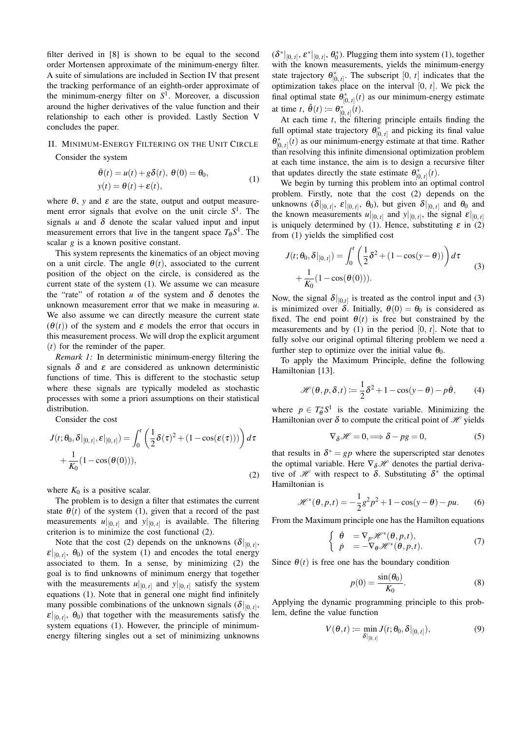filter derived in [8] is shown to be equal to the second order Mortensen approximate of the minimum-energy filter. A suite of simulations are included in Section IV that present the tracking performance of an eighth-order approximate of the minimum-energy filter on *S* 1 . Moreover, a discussion around the higher derivatives of the value function and their relationship to each other is provided. Lastly Section V concludes the paper.

## II. MINIMUM-ENERGY FILTERING ON THE UNIT CIRCLE

Consider the system

$$
\dot{\theta}(t) = u(t) + g\delta(t), \ \theta(0) = \theta_0, \n y(t) = \theta(t) + \varepsilon(t),
$$
\n(1)

where  $\theta$ , *y* and  $\varepsilon$  are the state, output and output measurement error signals that evolve on the unit circle *S* 1 . The signals  $u$  and  $\delta$  denote the scalar valued input and input measurement errors that live in the tangent space  $T_{\theta} S^1$ . The scalar *g* is a known positive constant.

This system represents the kinematics of an object moving on a unit circle. The angle  $\theta(t)$ , associated to the current position of the object on the circle, is considered as the current state of the system (1). We assume we can measure the "rate" of rotation *u* of the system and  $\delta$  denotes the unknown measurement error that we make in measuring *u*. We also assume we can directly measure the current state  $(\theta(t))$  of the system and  $\varepsilon$  models the error that occurs in this measurement process. We will drop the explicit argument (*t*) for the reminder of the paper.

*Remark 1:* In deterministic minimum-energy filtering the signals  $\delta$  and  $\varepsilon$  are considered as unknown deterministic functions of time. This is different to the stochastic setup where these signals are typically modeled as stochastic processes with some a priori assumptions on their statistical distribution.

Consider the cost

$$
J(t; \theta_0, \delta|_{[0, t]}, \varepsilon|_{[0, t]}) = \int_0^t \left(\frac{1}{2}\delta(\tau)^2 + (1 - \cos(\varepsilon(\tau)))\right) d\tau
$$

$$
+ \frac{1}{K_0}(1 - \cos(\theta(0))), \tag{2}
$$

where  $K_0$  is a positive scalar.

The problem is to design a filter that estimates the current state  $\theta(t)$  of the system (1), given that a record of the past measurements  $u|_{[0, t]}$  and  $y|_{[0, t]}$  is available. The filtering criterion is to minimize the cost functional (2).

Note that the cost (2) depends on the unknowns  $(\delta|_{[0, t]},$  $\mathcal{E}|_{[0, t]}$ ,  $\theta_0$ ) of the system (1) and encodes the total energy associated to them. In a sense, by minimizing (2) the goal is to find unknowns of minimum energy that together with the measurements  $u|_{[0, t]}$  and  $y|_{[0, t]}$  satisfy the system equations (1). Note that in general one might find infinitely many possible combinations of the unknown signals  $(\delta|_{[0, t]},$  $\mathcal{E}|_{[0, t]}$ ,  $\theta_0$ ) that together with the measurements satisfy the system equations (1). However, the principle of minimumenergy filtering singles out a set of minimizing unknowns

 $(\delta^*|_{[0, t]}, \varepsilon^*|_{[0, t]}, \theta_0^*)$ . Plugging them into system (1), together with the known measurements, yields the minimum-energy state trajectory  $\theta_{[0, t]}^*$ . The subscript  $[0, t]$  indicates that the optimization takes place on the interval [0, *t*]. We pick the final optimal state  $\theta_{[0, t]}^*(t)$  as our minimum-energy estimate at time *t*,  $\hat{\theta}(t) := \theta_{[0, t]}^{*}(t)$ .

At each time *t*, the filtering principle entails finding the full optimal state trajectory  $\theta_{[0, t]}^*$  and picking its final value  $\theta_{[0, t]}^*(t)$  as our minimum-energy estimate at that time. Rather than resolving this infinite dimensional optimization problem at each time instance, the aim is to design a recursive filter that updates directly the state estimate  $\theta_{[0, t]}^*(t)$ .

We begin by turning this problem into an optimal control problem. Firstly, note that the cost (2) depends on the unknowns  $(\delta|_{[0, t]}, \varepsilon|_{[0, t]}, \theta_0)$ , but given  $\delta|_{[0, t]}$  and  $\theta_0$  and the known measurements  $u|_{[0, t]}$  and  $y|_{[0, t]}$ , the signal  $\varepsilon|_{[0, t]}$ is uniquely determined by (1). Hence, substituting  $\varepsilon$  in (2) from (1) yields the simplified cost

$$
J(t; \theta_0, \delta|_{[0, t]}) = \int_0^t \left(\frac{1}{2}\delta^2 + (1 - \cos(y - \theta))\right) d\tau
$$
  
 
$$
+ \frac{1}{K_0} (1 - \cos(\theta(0))).
$$
 (3)

Now, the signal  $\delta|_{[0,t]}$  is treated as the control input and (3) is minimized over  $\delta$ . Initially,  $\theta(0) = \theta_0$  is considered as fixed. The end point  $\theta(t)$  is free but constrained by the measurements and by  $(1)$  in the period  $[0, t]$ . Note that to fully solve our original optimal filtering problem we need a further step to optimize over the initial value  $\theta_0$ .

To apply the Maximum Principle, define the following Hamiltonian [13].

$$
\mathcal{H}(\theta, p, \delta, t) := \frac{1}{2}\delta^2 + 1 - \cos(y - \theta) - p\dot{\theta}, \qquad (4)
$$

where  $p \in T^*_{\theta}S^1$  is the costate variable. Minimizing the Hamiltonian over  $\delta$  to compute the critical point of  $\mathcal H$  yields

$$
\nabla_{\delta} \mathcal{H} = 0 \Longrightarrow \delta - pg = 0,\tag{5}
$$

that results in  $\delta^* = gp$  where the superscripted star denotes the optimal variable. Here  $\nabla_{\delta} \mathcal{H}$  denotes the partial derivative of  $\mathcal H$  with respect to  $\delta$ . Substituting  $\delta^*$  the optimal Hamiltonian is

$$
\mathcal{H}^*(\theta, p, t) = -\frac{1}{2}g^2p^2 + 1 - \cos(y - \theta) - pu. \tag{6}
$$

From the Maximum principle one has the Hamilton equations

$$
\begin{cases}\n\dot{\theta} = \nabla_p \mathcal{H}^*(\theta, p, t), \\
\dot{p} = -\nabla_\theta \mathcal{H}^*(\theta, p, t).\n\end{cases}
$$
\n(7)

Since  $\theta(t)$  is free one has the boundary condition

$$
p(0) = \frac{\sin(\theta_0)}{K_0}.
$$
 (8)

Applying the dynamic programming principle to this problem, define the value function

$$
V(\theta, t) := \min_{\delta|_{[0, t]}} J(t; \theta_0, \delta|_{[0, t]}),
$$
\n(9)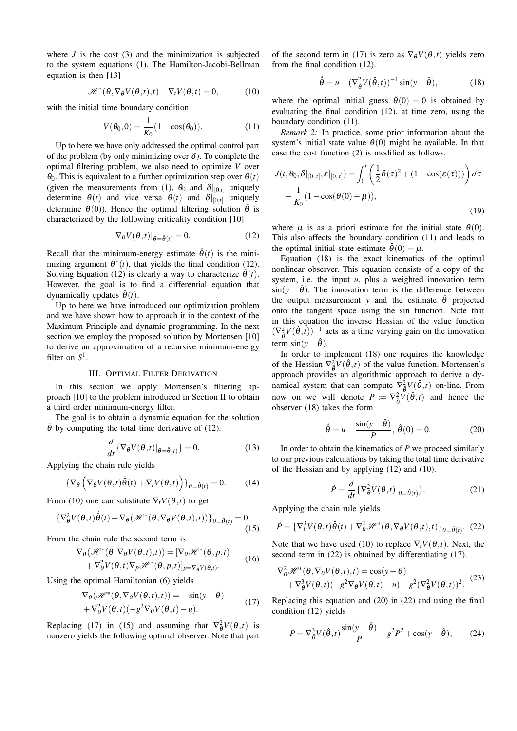where  $J$  is the cost  $(3)$  and the minimization is subjected to the system equations (1). The Hamilton-Jacobi-Bellman equation is then [13]

$$
\mathcal{H}^*(\theta, \nabla_{\theta} V(\theta, t), t) - \nabla_t V(\theta, t) = 0, \qquad (10)
$$

with the initial time boundary condition

$$
V(\theta_0, 0) = \frac{1}{K_0} (1 - \cos(\theta_0)).
$$
 (11)

Up to here we have only addressed the optimal control part of the problem (by only minimizing over  $\delta$ ). To complete the optimal filtering problem, we also need to optimize *V* over θ0. This is equivalent to a further optimization step over θ(*t*) (given the measurements from (1),  $\theta_0$  and  $\delta|_{[0,t]}$  uniquely determine  $\theta(t)$  and vice versa  $\theta(t)$  and  $\delta|_{[0,t]}$  uniquely determine  $\theta(0)$ ). Hence the optimal filtering solution  $\hat{\theta}$  is characterized by the following criticality condition [10]

$$
\nabla_{\theta} V(\theta, t)|_{\theta = \hat{\theta}(t)} = 0.
$$
 (12)

Recall that the minimum-energy estimate  $\hat{\theta}(t)$  is the minimizing argument  $\theta^*(t)$ , that yields the final condition (12). Solving Equation (12) is clearly a way to characterize  $\theta(t)$ . However, the goal is to find a differential equation that dynamically updates  $\hat{\theta}(t)$ .

Up to here we have introduced our optimization problem and we have shown how to approach it in the context of the Maximum Principle and dynamic programming. In the next section we employ the proposed solution by Mortensen [10] to derive an approximation of a recursive minimum-energy filter on  $S^1$ .

### III. OPTIMAL FILTER DERIVATION

In this section we apply Mortensen's filtering approach [10] to the problem introduced in Section II to obtain a third order minimum-energy filter.

The goal is to obtain a dynamic equation for the solution  $\hat{\theta}$  by computing the total time derivative of (12).

$$
\frac{d}{dt}\{\nabla_{\theta}V(\theta,t)|_{\theta=\hat{\theta}(t)}\}=0.
$$
\n(13)

Applying the chain rule yields

$$
\{\nabla_{\theta}\left(\nabla_{\theta}V(\theta,t)\dot{\theta}(t) + \nabla_{t}V(\theta,t)\right)\}_{\theta=\hat{\theta}(t)} = 0. \quad (14)
$$

From (10) one can substitute  $\nabla_t V(\theta, t)$  to get

$$
\{\nabla_{\theta}^{2} V(\theta, t) \dot{\theta}(t) + \nabla_{\theta} (\mathcal{H}^{*}(\theta, \nabla_{\theta} V(\theta, t), t))\}_{\theta = \hat{\theta}(t)} = 0,
$$
\n(15)

From the chain rule the second term is

$$
\nabla_{\theta}(\mathcal{H}^*(\theta, \nabla_{\theta} V(\theta, t), t)) = [\nabla_{\theta} \mathcal{H}^*(\theta, p, t)] + \nabla_{\theta}^2 V(\theta, t) \nabla_{p} \mathcal{H}^*(\theta, p, t)]_{p = \nabla_{\theta} V(\theta, t)}.
$$
(16)

Using the optimal Hamiltonian (6) yields

$$
\nabla_{\theta}(\mathcal{H}^{*}(\theta, \nabla_{\theta}V(\theta, t), t)) = -\sin(y - \theta)
$$
  
+ 
$$
\nabla_{\theta}^{2}V(\theta, t)(-g^{2}\nabla_{\theta}V(\theta, t) - u).
$$
 (17)

Replacing (17) in (15) and assuming that  $\nabla_{\theta}^2 V(\theta, t)$  is nonzero yields the following optimal observer. Note that part

of the second term in (17) is zero as  $\nabla_{\theta} V(\theta, t)$  yields zero from the final condition (12).

$$
\dot{\hat{\theta}} = u + (\nabla_{\hat{\theta}}^2 V(\hat{\theta}, t))^{-1} \sin(y - \hat{\theta}), \tag{18}
$$

where the optimal initial guess  $\hat{\theta}(0) = 0$  is obtained by evaluating the final condition (12), at time zero, using the boundary condition (11).

*Remark 2:* In practice, some prior information about the system's initial state value  $\theta(0)$  might be available. In that case the cost function (2) is modified as follows.

$$
J(t; \theta_0, \delta|_{[0, t]}, \varepsilon|_{[0, t]}) = \int_0^t \left(\frac{1}{2}\delta(\tau)^2 + (1 - \cos(\varepsilon(\tau)))\right) d\tau
$$

$$
+ \frac{1}{K_0}(1 - \cos(\theta(0) - \mu)),
$$
\n(19)

where  $\mu$  is as a priori estimate for the initial state  $\theta(0)$ . This also affects the boundary condition (11) and leads to the optimal initial state estimate  $\hat{\theta}(0) = \mu$ .

Equation (18) is the exact kinematics of the optimal nonlinear observer. This equation consists of a copy of the system, i.e. the input  $u$ , plus a weighted innovation term  $\sin(y - \hat{\theta})$ . The innovation term is the difference between the output measurement *y* and the estimate  $\hat{\theta}$  projected onto the tangent space using the sin function. Note that in this equation the inverse Hessian of the value function  $(\nabla^2_{\hat{\theta}} V(\hat{\theta}, t))^{-1}$  acts as a time varying gain on the innovation term  $sin(y-\hat{\theta})$ .

In order to implement (18) one requires the knowledge of the Hessian  $\nabla_{\hat{\theta}}^2 V(\hat{\theta}, t)$  of the value function. Mortensen's approach provides an algorithmic approach to derive a dynamical system that can compute  $\nabla^2_{\theta} V(\hat{\theta}, t)$  on-line. From now on we will denote  $P := \nabla_{\hat{\theta}}^2 V(\hat{\theta}, t)$  and hence the observer (18) takes the form

$$
\dot{\hat{\theta}} = u + \frac{\sin(y - \hat{\theta})}{P}, \ \hat{\theta}(0) = 0. \tag{20}
$$

In order to obtain the kinematics of *P* we proceed similarly to our previous calculations by taking the total time derivative of the Hessian and by applying (12) and (10).

$$
\dot{P} = \frac{d}{dt} \{ \nabla_{\theta}^{2} V(\theta, t) |_{\theta = \hat{\theta}(t)} \}.
$$
 (21)

Applying the chain rule yields

$$
\dot{P} = \{\nabla_{\theta}^{3} V(\theta, t) \dot{\hat{\theta}}(t) + \nabla_{\theta}^{2} \mathcal{H}^{*}(\theta, \nabla_{\theta} V(\theta, t), t)\}_{\theta = \hat{\theta}(t)}.
$$
 (22)

Note that we have used (10) to replace  $\nabla_t V(\theta, t)$ . Next, the second term in (22) is obtained by differentiating (17).

$$
\nabla_{\theta}^{2} \mathcal{H}^{*}(\theta, \nabla_{\theta} V(\theta, t), t) = \cos(y - \theta)
$$
  
+ 
$$
\nabla_{\theta}^{3} V(\theta, t) (-g^{2} \nabla_{\theta} V(\theta, t) - u) - g^{2} (\nabla_{\theta}^{2} V(\theta, t))^{2}.
$$
 (23)

Replacing this equation and (20) in (22) and using the final condition (12) yields

$$
\dot{P} = \nabla_{\hat{\theta}}^3 V(\hat{\theta}, t) \frac{\sin(y - \hat{\theta})}{P} - g^2 P^2 + \cos(y - \hat{\theta}), \qquad (24)
$$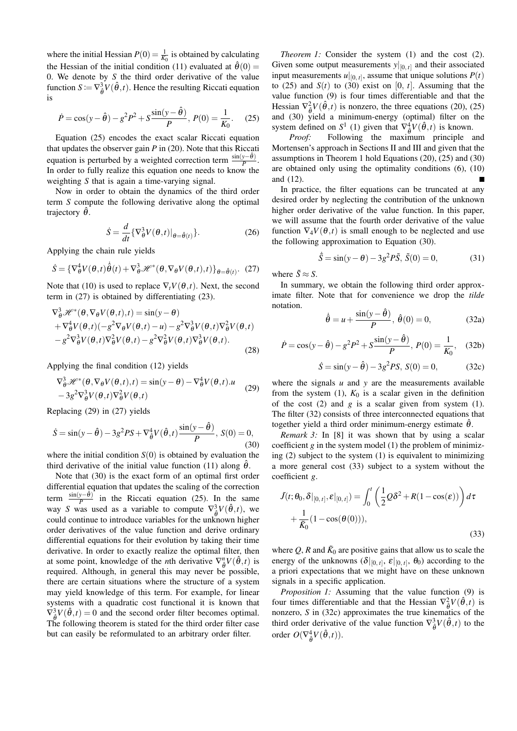where the initial Hessian  $P(0) = \frac{1}{K_0}$  is obtained by calculating the Hessian of the initial condition (11) evaluated at  $\hat{\theta}(0)$  = 0. We denote by *S* the third order derivative of the value function  $S := \nabla_{\hat{\theta}}^3 V(\hat{\theta}, t)$ . Hence the resulting Riccati equation is

$$
\dot{P} = \cos(y - \hat{\theta}) - g^2 P^2 + S \frac{\sin(y - \hat{\theta})}{P}, \ P(0) = \frac{1}{K_0}.
$$
 (25)

Equation (25) encodes the exact scalar Riccati equation that updates the observer gain *P* in (20). Note that this Riccati equation is perturbed by a weighted correction term  $\frac{\sin(y-\hat{\theta})}{P}$ . In order to fully realize this equation one needs to know the weighting *S* that is again a time-varying signal.

Now in order to obtain the dynamics of the third order term *S* compute the following derivative along the optimal trajectory  $\hat{\theta}$ .

$$
\dot{S} = \frac{d}{dt} \{ \nabla_{\theta}^{3} V(\theta, t) |_{\theta = \hat{\theta}(t)} \}.
$$
 (26)

Applying the chain rule yields

$$
\dot{S} = \{\nabla_{\theta}^{4} V(\theta, t) \dot{\theta}(t) + \nabla_{\theta}^{3} \mathcal{H}^{*}(\theta, \nabla_{\theta} V(\theta, t), t)\}_{\theta = \hat{\theta}(t)}.
$$
 (27)

Note that (10) is used to replace  $\nabla_t V(\theta, t)$ . Next, the second term in (27) is obtained by differentiating (23).

$$
\nabla_{\theta}^{3} \mathscr{H}^{*}(\theta, \nabla_{\theta} V(\theta, t), t) = \sin(y - \theta) \n+ \nabla_{\theta}^{4} V(\theta, t) (-g^{2} \nabla_{\theta} V(\theta, t) - u) - g^{2} \nabla_{\theta}^{3} V(\theta, t) \nabla_{\theta}^{2} V(\theta, t) \n- g^{2} \nabla_{\theta}^{3} V(\theta, t) \nabla_{\theta}^{2} V(\theta, t) - g^{2} \nabla_{\theta}^{2} V(\theta, t) \nabla_{\theta}^{3} V(\theta, t).
$$
\n(28)

Applying the final condition (12) yields

$$
\nabla_{\theta}^{3} \mathcal{H}^{*}(\theta, \nabla_{\theta} V(\theta, t), t) = \sin(y - \theta) - \nabla_{\theta}^{4} V(\theta, t).u
$$
  

$$
-3g^{2} \nabla_{\theta}^{3} V(\theta, t) \nabla_{\theta}^{2} V(\theta, t)
$$
 (29)

Replacing (29) in (27) yields

$$
\dot{S} = \sin(y - \hat{\theta}) - 3g^2 PS + \nabla_{\hat{\theta}}^4 V(\hat{\theta}, t) \frac{\sin(y - \hat{\theta})}{P}, \ S(0) = 0,
$$
\n(30)

where the initial condition  $S(0)$  is obtained by evaluation the third derivative of the initial value function (11) along  $\hat{\theta}$ .

Note that (30) is the exact form of an optimal first order differential equation that updates the scaling of the correction term  $\frac{\sin(y-\hat{\theta})}{P}$  in the Riccati equation (25). In the same way *S* was used as a variable to compute  $\nabla^3_{\hat{\theta}} V(\hat{\theta}, t)$ , we could continue to introduce variables for the unknown higher order derivatives of the value function and derive ordinary differential equations for their evolution by taking their time derivative. In order to exactly realize the optimal filter, then at some point, knowledge of the *n*th derivative  $\nabla_{\theta}^{n} V(\hat{\theta}, t)$  is required. Although, in general this may never be possible, there are certain situations where the structure of a system may yield knowledge of this term. For example, for linear systems with a quadratic cost functional it is known that  $\nabla^3 \mathbf{V}(\hat{\theta},t) = 0$  and the second order filter becomes optimal. The following theorem is stated for the third order filter case but can easily be reformulated to an arbitrary order filter.

*Theorem 1:* Consider the system (1) and the cost (2). Given some output measurements  $y|_{[0, t]}$  and their associated input measurements  $u|_{[0, t]}$ , assume that unique solutions  $P(t)$ to (25) and  $S(t)$  to (30) exist on [0, *t*]. Assuming that the value function (9) is four times differentiable and that the Hessian  $\nabla^2_{\hat{\theta}} V(\hat{\theta}, t)$  is nonzero, the three equations (20), (25) and (30) yield a minimum-energy (optimal) filter on the system defined on  $S^1$  (1) given that  $\nabla^4_{\hat{\theta}} V(\hat{\theta}, t)$  is known.

*Proof:* Following the maximum principle and Mortensen's approach in Sections II and III and given that the assumptions in Theorem 1 hold Equations (20), (25) and (30) are obtained only using the optimality conditions (6), (10) and (12).

In practice, the filter equations can be truncated at any desired order by neglecting the contribution of the unknown higher order derivative of the value function. In this paper, we will assume that the fourth order derivative of the value function  $\nabla_4 V(\theta,t)$  is small enough to be neglected and use the following approximation to Equation (30).

$$
\dot{\tilde{S}} = \sin(y - \theta) - 3g^2 P \tilde{S}, \ \tilde{S}(0) = 0,\tag{31}
$$

where  $\tilde{S} \approx S$ .

In summary, we obtain the following third order approximate filter. Note that for convenience we drop the *tilde* notation.

$$
\dot{\hat{\theta}} = u + \frac{\sin(y - \hat{\theta})}{P}, \ \hat{\theta}(0) = 0,\tag{32a}
$$

$$
\dot{P} = \cos(y - \hat{\theta}) - g^2 P^2 + S \frac{\sin(y - \hat{\theta})}{P}, P(0) = \frac{1}{K_0}, (32b)
$$

$$
\dot{S} = \sin(y - \hat{\theta}) - 3g^2 PS, S(0) = 0,
$$
 (32c)

where the signals  $u$  and  $y$  are the measurements available from the system  $(1)$ ,  $K_0$  is a scalar given in the definition of the cost (2) and *g* is a scalar given from system (1). The filter (32) consists of three interconnected equations that together yield a third order minimum-energy estimate  $\hat{\theta}$ .

*Remark 3:* In [8] it was shown that by using a scalar coefficient *g* in the system model (1) the problem of minimizing (2) subject to the system (1) is equivalent to minimizing a more general cost (33) subject to a system without the coefficient *g*.

$$
\tilde{J}(t; \theta_0, \delta|_{[0, t]}, \varepsilon|_{[0, t]}) = \int_0^t \left(\frac{1}{2}Q\delta^2 + R(1 - \cos(\varepsilon))\right)d\tau
$$

$$
+ \frac{1}{\tilde{K}_0}(1 - \cos(\theta(0))),
$$
\n(33)

where  $Q$ ,  $R$  and  $\tilde{K}_0$  are positive gains that allow us to scale the energy of the unknowns  $(\delta|_{[0, t]}, \varepsilon|_{[0, t]}, \theta_0)$  according to the a priori expectations that we might have on these unknown signals in a specific application.

*Proposition 1:* Assuming that the value function (9) is four times differentiable and that the Hessian  $\nabla_{\hat{\theta}}^2 V(\hat{\theta}, t)$  is nonzero, *S* in (32c) approximates the true kinematics of the third order derivative of the value function  $\nabla_{\hat{\theta}}^3 V(\hat{\theta}, t)$  to the order  $O(\nabla_{\hat{\theta}}^4 V(\hat{\theta}, t)).$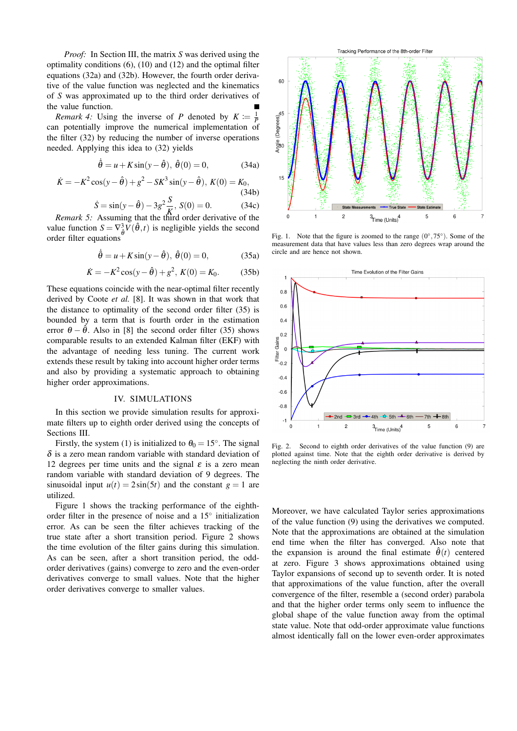*Proof:* In Section III, the matrix *S* was derived using the optimality conditions (6), (10) and (12) and the optimal filter equations (32a) and (32b). However, the fourth order derivative of the value function was neglected and the kinematics of *S* was approximated up to the third order derivatives of the value function.

*Remark 4:* Using the inverse of *P* denoted by  $K := \frac{1}{P}$ can potentially improve the numerical implementation of the filter (32) by reducing the number of inverse operations needed. Applying this idea to (32) yields

$$
\dot{\hat{\theta}} = u + K \sin(y - \hat{\theta}), \ \hat{\theta}(0) = 0,
$$
\n(34a)

$$
\dot{K} = -K^2 \cos(y - \hat{\theta}) + g^2 - SK^3 \sin(y - \hat{\theta}), \ K(0) = K_0,
$$
\n(34b)

$$
\dot{S} = \sin(y - \hat{\theta}) - 3g^2 \frac{S}{K}, S(0) = 0.
$$
 (34c)

*Remark 5:* Assuming that the third order derivative of the value function  $S = \nabla_{\hat{\theta}}^3 V(\hat{\theta}, t)$  is negligible yields the second order filter equations

$$
\dot{\hat{\theta}} = u + K \sin(y - \hat{\theta}), \ \hat{\theta}(0) = 0,
$$
 (35a)

$$
\dot{K} = -K^2 \cos(y - \hat{\theta}) + g^2, K(0) = K_0.
$$
 (35b)

These equations coincide with the near-optimal filter recently derived by Coote *et al.* [8]. It was shown in that work that the distance to optimality of the second order filter (35) is bounded by a term that is fourth order in the estimation error  $\theta - \hat{\theta}$ . Also in [8] the second order filter (35) shows comparable results to an extended Kalman filter (EKF) with the advantage of needing less tuning. The current work extends these result by taking into account higher order terms and also by providing a systematic approach to obtaining higher order approximations.

# IV. SIMULATIONS

In this section we provide simulation results for approximate filters up to eighth order derived using the concepts of Sections III.

Firstly, the system (1) is initialized to  $\theta_0 = 15^\circ$ . The signal  $\delta$  is a zero mean random variable with standard deviation of 12 degrees per time units and the signal  $\varepsilon$  is a zero mean random variable with standard deviation of 9 degrees. The sinusoidal input  $u(t) = 2\sin(5t)$  and the constant  $g = 1$  are utilized.

Figure 1 shows the tracking performance of the eighthorder filter in the presence of noise and a 15◦ initialization error. As can be seen the filter achieves tracking of the true state after a short transition period. Figure 2 shows the time evolution of the filter gains during this simulation. As can be seen, after a short transition period, the oddorder derivatives (gains) converge to zero and the even-order derivatives converge to small values. Note that the higher order derivatives converge to smaller values.



Fig. 1. Note that the figure is zoomed to the range  $(0^{\circ}, 75^{\circ})$ . Some of the measurement data that have values less than zero degrees wrap around the circle and are hence not shown.



Fig. 2. Second to eighth order derivatives of the value function (9) are plotted against time. Note that the eighth order derivative is derived by neglecting the ninth order derivative.

Moreover, we have calculated Taylor series approximations of the value function (9) using the derivatives we computed. Note that the approximations are obtained at the simulation end time when the filter has converged. Also note that the expansion is around the final estimate  $\hat{\theta}(t)$  centered at zero. Figure 3 shows approximations obtained using Taylor expansions of second up to seventh order. It is noted that approximations of the value function, after the overall convergence of the filter, resemble a (second order) parabola and that the higher order terms only seem to influence the global shape of the value function away from the optimal state value. Note that odd-order approximate value functions almost identically fall on the lower even-order approximates